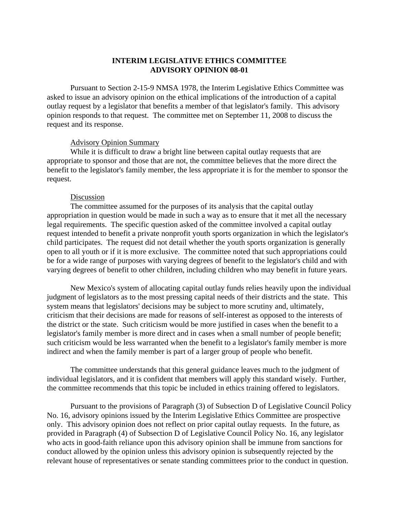## **INTERIM LEGISLATIVE ETHICS COMMITTEE ADVISORY OPINION 08-01**

Pursuant to Section 2-15-9 NMSA 1978, the Interim Legislative Ethics Committee was asked to issue an advisory opinion on the ethical implications of the introduction of a capital outlay request by a legislator that benefits a member of that legislator's family. This advisory opinion responds to that request. The committee met on September 11, 2008 to discuss the request and its response.

## Advisory Opinion Summary

While it is difficult to draw a bright line between capital outlay requests that are appropriate to sponsor and those that are not, the committee believes that the more direct the benefit to the legislator's family member, the less appropriate it is for the member to sponsor the request.

## Discussion

The committee assumed for the purposes of its analysis that the capital outlay appropriation in question would be made in such a way as to ensure that it met all the necessary legal requirements. The specific question asked of the committee involved a capital outlay request intended to benefit a private nonprofit youth sports organization in which the legislator's child participates. The request did not detail whether the youth sports organization is generally open to all youth or if it is more exclusive. The committee noted that such appropriations could be for a wide range of purposes with varying degrees of benefit to the legislator's child and with varying degrees of benefit to other children, including children who may benefit in future years.

New Mexico's system of allocating capital outlay funds relies heavily upon the individual judgment of legislators as to the most pressing capital needs of their districts and the state. This system means that legislators' decisions may be subject to more scrutiny and, ultimately, criticism that their decisions are made for reasons of self-interest as opposed to the interests of the district or the state. Such criticism would be more justified in cases when the benefit to a legislator's family member is more direct and in cases when a small number of people benefit; such criticism would be less warranted when the benefit to a legislator's family member is more indirect and when the family member is part of a larger group of people who benefit.

The committee understands that this general guidance leaves much to the judgment of individual legislators, and it is confident that members will apply this standard wisely. Further, the committee recommends that this topic be included in ethics training offered to legislators.

Pursuant to the provisions of Paragraph (3) of Subsection D of Legislative Council Policy No. 16, advisory opinions issued by the Interim Legislative Ethics Committee are prospective only. This advisory opinion does not reflect on prior capital outlay requests. In the future, as provided in Paragraph (4) of Subsection D of Legislative Council Policy No. 16, any legislator who acts in good-faith reliance upon this advisory opinion shall be immune from sanctions for conduct allowed by the opinion unless this advisory opinion is subsequently rejected by the relevant house of representatives or senate standing committees prior to the conduct in question.